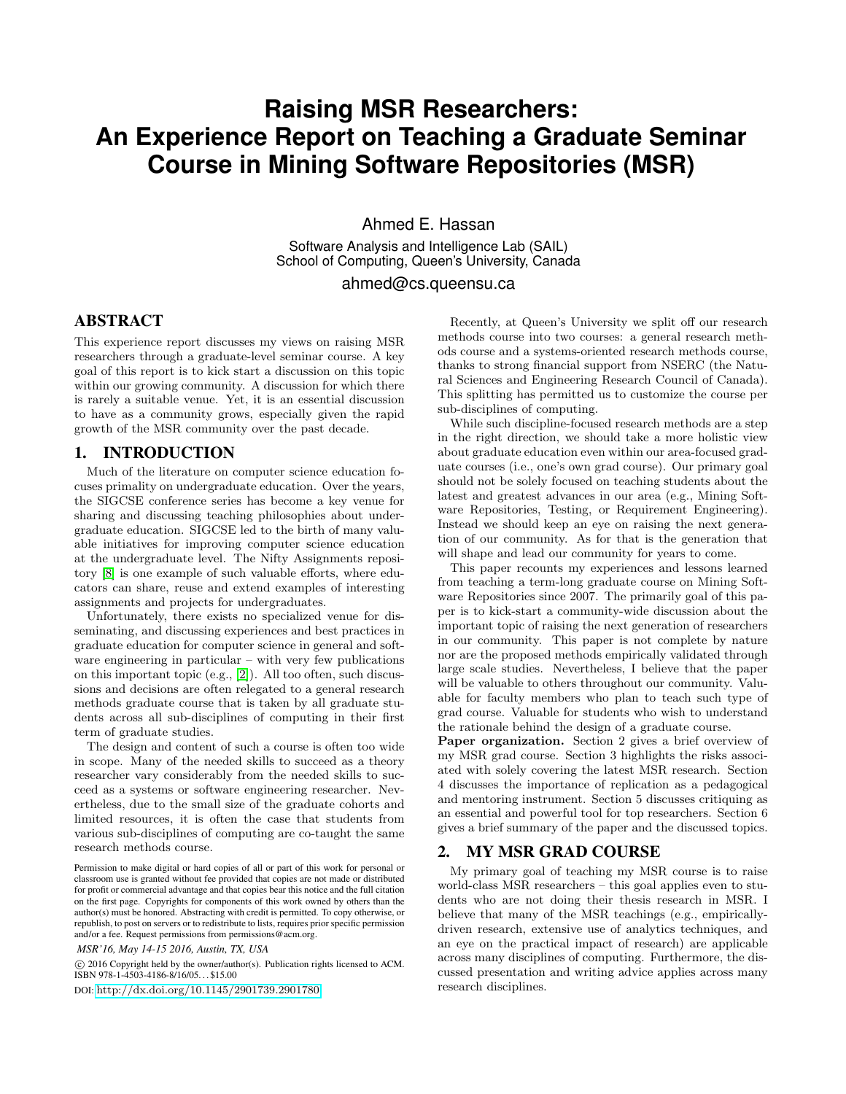# **Raising MSR Researchers: An Experience Report on Teaching a Graduate Seminar Course in Mining Software Repositories (MSR)**

Ahmed E. Hassan

Software Analysis and Intelligence Lab (SAIL) School of Computing, Queen's University, Canada

ahmed@cs.queensu.ca

## ABSTRACT

This experience report discusses my views on raising MSR researchers through a graduate-level seminar course. A key goal of this report is to kick start a discussion on this topic within our growing community. A discussion for which there is rarely a suitable venue. Yet, it is an essential discussion to have as a community grows, especially given the rapid growth of the MSR community over the past decade.

## 1. INTRODUCTION

Much of the literature on computer science education focuses primality on undergraduate education. Over the years, the SIGCSE conference series has become a key venue for sharing and discussing teaching philosophies about undergraduate education. SIGCSE led to the birth of many valuable initiatives for improving computer science education at the undergraduate level. The Nifty Assignments repository [\[8\]](#page-4-0) is one example of such valuable efforts, where educators can share, reuse and extend examples of interesting assignments and projects for undergraduates.

Unfortunately, there exists no specialized venue for disseminating, and discussing experiences and best practices in graduate education for computer science in general and software engineering in particular – with very few publications on this important topic (e.g., [\[2\]](#page-4-1)). All too often, such discussions and decisions are often relegated to a general research methods graduate course that is taken by all graduate students across all sub-disciplines of computing in their first term of graduate studies.

The design and content of such a course is often too wide in scope. Many of the needed skills to succeed as a theory researcher vary considerably from the needed skills to succeed as a systems or software engineering researcher. Nevertheless, due to the small size of the graduate cohorts and limited resources, it is often the case that students from various sub-disciplines of computing are co-taught the same research methods course.

 c 2016 Copyright held by the owner/author(s). Publication rights licensed to ACM. ISBN 978-1-4503-4186-8/16/05. . . \$15.00

DOI: <http://dx.doi.org/10.1145/2901739.2901780>

Recently, at Queen's University we split off our research methods course into two courses: a general research methods course and a systems-oriented research methods course, thanks to strong financial support from NSERC (the Natural Sciences and Engineering Research Council of Canada). This splitting has permitted us to customize the course per sub-disciplines of computing.

While such discipline-focused research methods are a step in the right direction, we should take a more holistic view about graduate education even within our area-focused graduate courses (i.e., one's own grad course). Our primary goal should not be solely focused on teaching students about the latest and greatest advances in our area (e.g., Mining Software Repositories, Testing, or Requirement Engineering). Instead we should keep an eye on raising the next generation of our community. As for that is the generation that will shape and lead our community for years to come.

This paper recounts my experiences and lessons learned from teaching a term-long graduate course on Mining Software Repositories since 2007. The primarily goal of this paper is to kick-start a community-wide discussion about the important topic of raising the next generation of researchers in our community. This paper is not complete by nature nor are the proposed methods empirically validated through large scale studies. Nevertheless, I believe that the paper will be valuable to others throughout our community. Valuable for faculty members who plan to teach such type of grad course. Valuable for students who wish to understand the rationale behind the design of a graduate course.

Paper organization. Section 2 gives a brief overview of my MSR grad course. Section 3 highlights the risks associated with solely covering the latest MSR research. Section 4 discusses the importance of replication as a pedagogical and mentoring instrument. Section 5 discusses critiquing as an essential and powerful tool for top researchers. Section 6 gives a brief summary of the paper and the discussed topics.

#### 2. MY MSR GRAD COURSE

My primary goal of teaching my MSR course is to raise world-class MSR researchers – this goal applies even to students who are not doing their thesis research in MSR. I believe that many of the MSR teachings (e.g., empiricallydriven research, extensive use of analytics techniques, and an eye on the practical impact of research) are applicable across many disciplines of computing. Furthermore, the discussed presentation and writing advice applies across many research disciplines.

Permission to make digital or hard copies of all or part of this work for personal or classroom use is granted without fee provided that copies are not made or distributed for profit or commercial advantage and that copies bear this notice and the full citation on the first page. Copyrights for components of this work owned by others than the author(s) must be honored. Abstracting with credit is permitted. To copy otherwise, or republish, to post on servers or to redistribute to lists, requires prior specific permission and/or a fee. Request permissions from permissions@acm.org.

*MSR'16, May 14-15 2016, Austin, TX, USA*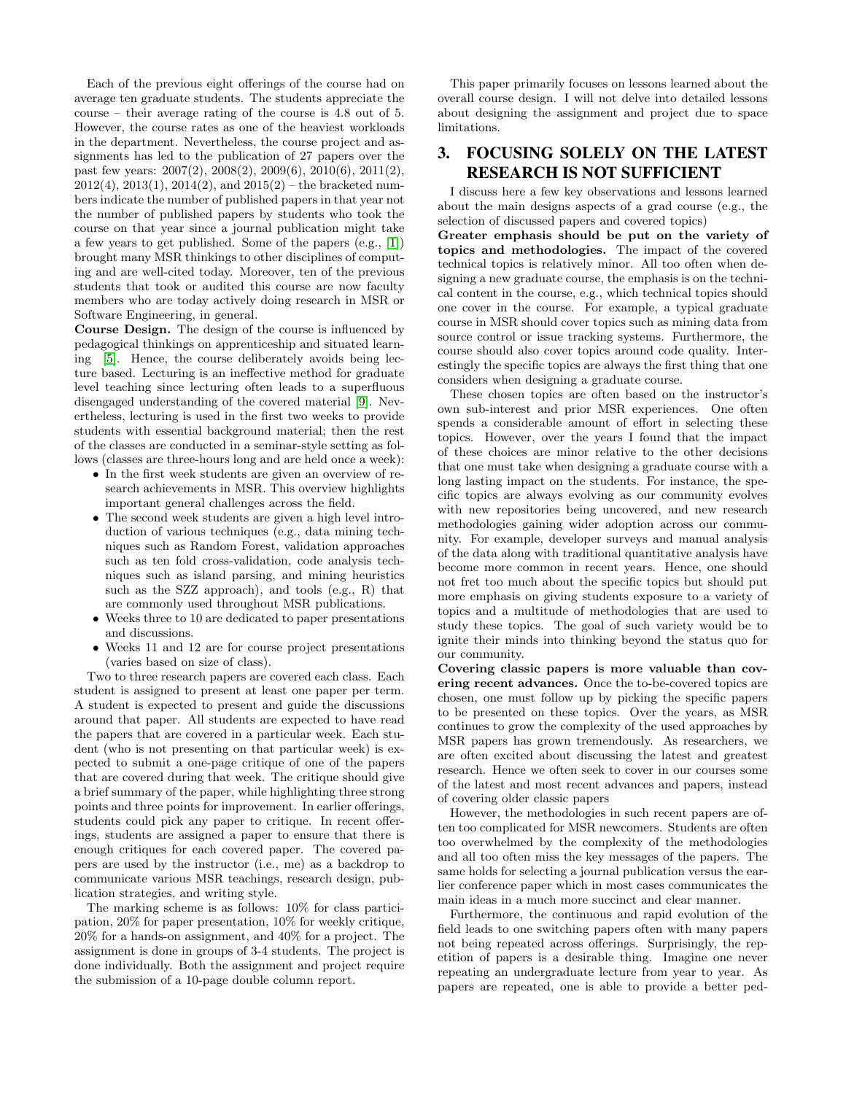Each of the previous eight offerings of the course had on average ten graduate students. The students appreciate the course – their average rating of the course is 4.8 out of 5. However, the course rates as one of the heaviest workloads in the department. Nevertheless, the course project and assignments has led to the publication of 27 papers over the past few years: 2007(2), 2008(2), 2009(6), 2010(6), 2011(2),  $2012(4)$ ,  $2013(1)$ ,  $2014(2)$ , and  $2015(2)$  – the bracketed numbers indicate the number of published papers in that year not the number of published papers by students who took the course on that year since a journal publication might take a few years to get published. Some of the papers (e.g., [\[1\]](#page-4-2)) brought many MSR thinkings to other disciplines of computing and are well-cited today. Moreover, ten of the previous students that took or audited this course are now faculty members who are today actively doing research in MSR or Software Engineering, in general.

Course Design. The design of the course is influenced by pedagogical thinkings on apprenticeship and situated learning [\[5\]](#page-4-3). Hence, the course deliberately avoids being lecture based. Lecturing is an ineffective method for graduate level teaching since lecturing often leads to a superfluous disengaged understanding of the covered material [\[9\]](#page-4-4). Nevertheless, lecturing is used in the first two weeks to provide students with essential background material; then the rest of the classes are conducted in a seminar-style setting as follows (classes are three-hours long and are held once a week):

- In the first week students are given an overview of research achievements in MSR. This overview highlights important general challenges across the field.
- The second week students are given a high level introduction of various techniques (e.g., data mining techniques such as Random Forest, validation approaches such as ten fold cross-validation, code analysis techniques such as island parsing, and mining heuristics such as the SZZ approach), and tools (e.g., R) that are commonly used throughout MSR publications.
- Weeks three to 10 are dedicated to paper presentations and discussions.
- Weeks 11 and 12 are for course project presentations (varies based on size of class).

Two to three research papers are covered each class. Each student is assigned to present at least one paper per term. A student is expected to present and guide the discussions around that paper. All students are expected to have read the papers that are covered in a particular week. Each student (who is not presenting on that particular week) is expected to submit a one-page critique of one of the papers that are covered during that week. The critique should give a brief summary of the paper, while highlighting three strong points and three points for improvement. In earlier offerings, students could pick any paper to critique. In recent offerings, students are assigned a paper to ensure that there is enough critiques for each covered paper. The covered papers are used by the instructor (i.e., me) as a backdrop to communicate various MSR teachings, research design, publication strategies, and writing style.

The marking scheme is as follows: 10% for class participation, 20% for paper presentation, 10% for weekly critique, 20% for a hands-on assignment, and 40% for a project. The assignment is done in groups of 3-4 students. The project is done individually. Both the assignment and project require the submission of a 10-page double column report.

This paper primarily focuses on lessons learned about the overall course design. I will not delve into detailed lessons about designing the assignment and project due to space limitations.

# 3. FOCUSING SOLELY ON THE LATEST RESEARCH IS NOT SUFFICIENT

I discuss here a few key observations and lessons learned about the main designs aspects of a grad course (e.g., the selection of discussed papers and covered topics)

Greater emphasis should be put on the variety of topics and methodologies. The impact of the covered technical topics is relatively minor. All too often when designing a new graduate course, the emphasis is on the technical content in the course, e.g., which technical topics should one cover in the course. For example, a typical graduate course in MSR should cover topics such as mining data from source control or issue tracking systems. Furthermore, the course should also cover topics around code quality. Interestingly the specific topics are always the first thing that one considers when designing a graduate course.

These chosen topics are often based on the instructor's own sub-interest and prior MSR experiences. One often spends a considerable amount of effort in selecting these topics. However, over the years I found that the impact of these choices are minor relative to the other decisions that one must take when designing a graduate course with a long lasting impact on the students. For instance, the specific topics are always evolving as our community evolves with new repositories being uncovered, and new research methodologies gaining wider adoption across our community. For example, developer surveys and manual analysis of the data along with traditional quantitative analysis have become more common in recent years. Hence, one should not fret too much about the specific topics but should put more emphasis on giving students exposure to a variety of topics and a multitude of methodologies that are used to study these topics. The goal of such variety would be to ignite their minds into thinking beyond the status quo for our community.

Covering classic papers is more valuable than covering recent advances. Once the to-be-covered topics are chosen, one must follow up by picking the specific papers to be presented on these topics. Over the years, as MSR continues to grow the complexity of the used approaches by MSR papers has grown tremendously. As researchers, we are often excited about discussing the latest and greatest research. Hence we often seek to cover in our courses some of the latest and most recent advances and papers, instead of covering older classic papers

However, the methodologies in such recent papers are often too complicated for MSR newcomers. Students are often too overwhelmed by the complexity of the methodologies and all too often miss the key messages of the papers. The same holds for selecting a journal publication versus the earlier conference paper which in most cases communicates the main ideas in a much more succinct and clear manner.

Furthermore, the continuous and rapid evolution of the field leads to one switching papers often with many papers not being repeated across offerings. Surprisingly, the repetition of papers is a desirable thing. Imagine one never repeating an undergraduate lecture from year to year. As papers are repeated, one is able to provide a better ped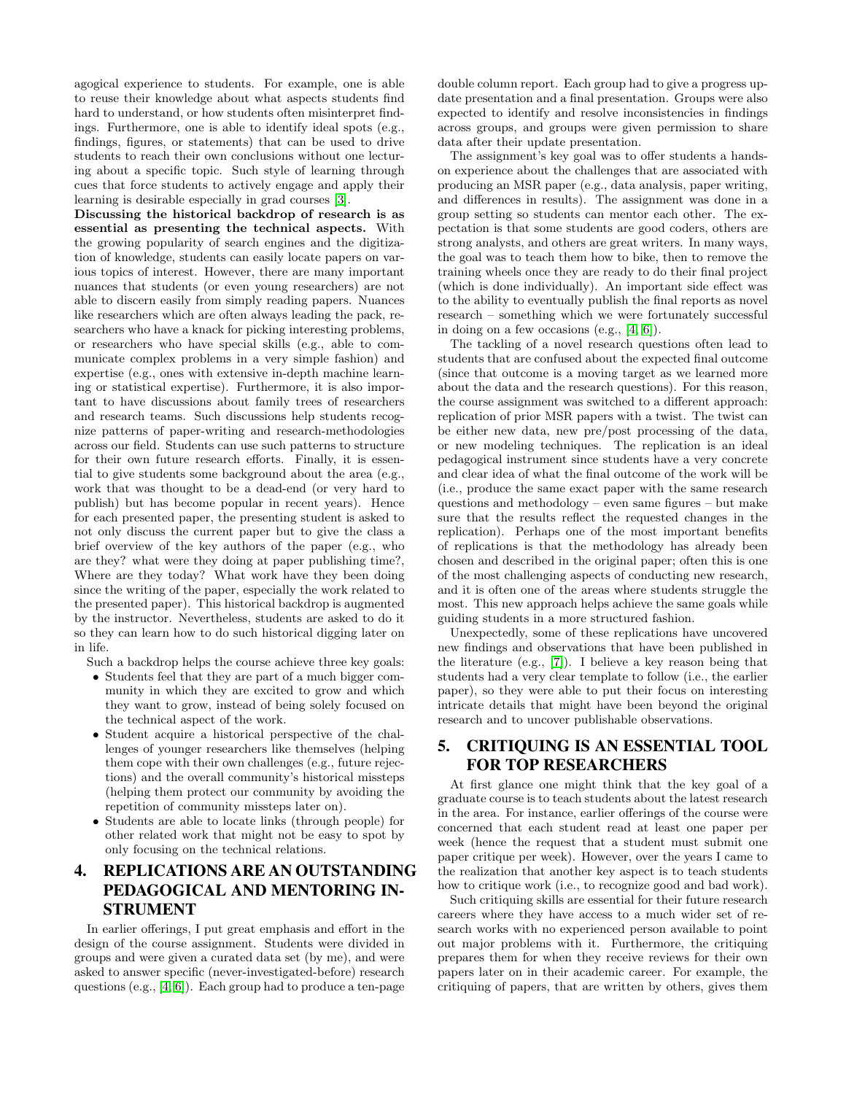agogical experience to students. For example, one is able to reuse their knowledge about what aspects students find hard to understand, or how students often misinterpret findings. Furthermore, one is able to identify ideal spots (e.g., findings, figures, or statements) that can be used to drive students to reach their own conclusions without one lecturing about a specific topic. Such style of learning through cues that force students to actively engage and apply their learning is desirable especially in grad courses [\[3\]](#page-4-5).

Discussing the historical backdrop of research is as essential as presenting the technical aspects. With the growing popularity of search engines and the digitization of knowledge, students can easily locate papers on various topics of interest. However, there are many important nuances that students (or even young researchers) are not able to discern easily from simply reading papers. Nuances like researchers which are often always leading the pack, researchers who have a knack for picking interesting problems, or researchers who have special skills (e.g., able to communicate complex problems in a very simple fashion) and expertise (e.g., ones with extensive in-depth machine learning or statistical expertise). Furthermore, it is also important to have discussions about family trees of researchers and research teams. Such discussions help students recognize patterns of paper-writing and research-methodologies across our field. Students can use such patterns to structure for their own future research efforts. Finally, it is essential to give students some background about the area (e.g., work that was thought to be a dead-end (or very hard to publish) but has become popular in recent years). Hence for each presented paper, the presenting student is asked to not only discuss the current paper but to give the class a brief overview of the key authors of the paper (e.g., who are they? what were they doing at paper publishing time?, Where are they today? What work have they been doing since the writing of the paper, especially the work related to the presented paper). This historical backdrop is augmented by the instructor. Nevertheless, students are asked to do it so they can learn how to do such historical digging later on in life.

Such a backdrop helps the course achieve three key goals:

- Students feel that they are part of a much bigger community in which they are excited to grow and which they want to grow, instead of being solely focused on the technical aspect of the work.
- Student acquire a historical perspective of the challenges of younger researchers like themselves (helping them cope with their own challenges (e.g., future rejections) and the overall community's historical missteps (helping them protect our community by avoiding the repetition of community missteps later on).
- Students are able to locate links (through people) for other related work that might not be easy to spot by only focusing on the technical relations.

# 4. REPLICATIONS ARE AN OUTSTANDING PEDAGOGICAL AND MENTORING IN-STRUMENT

In earlier offerings, I put great emphasis and effort in the design of the course assignment. Students were divided in groups and were given a curated data set (by me), and were asked to answer specific (never-investigated-before) research questions (e.g., [\[4,](#page-4-6) [6\]](#page-4-7)). Each group had to produce a ten-page double column report. Each group had to give a progress update presentation and a final presentation. Groups were also expected to identify and resolve inconsistencies in findings across groups, and groups were given permission to share data after their update presentation.

The assignment's key goal was to offer students a handson experience about the challenges that are associated with producing an MSR paper (e.g., data analysis, paper writing, and differences in results). The assignment was done in a group setting so students can mentor each other. The expectation is that some students are good coders, others are strong analysts, and others are great writers. In many ways, the goal was to teach them how to bike, then to remove the training wheels once they are ready to do their final project (which is done individually). An important side effect was to the ability to eventually publish the final reports as novel research – something which we were fortunately successful in doing on a few occasions (e.g., [\[4,](#page-4-6) [6\]](#page-4-7)).

The tackling of a novel research questions often lead to students that are confused about the expected final outcome (since that outcome is a moving target as we learned more about the data and the research questions). For this reason, the course assignment was switched to a different approach: replication of prior MSR papers with a twist. The twist can be either new data, new pre/post processing of the data, or new modeling techniques. The replication is an ideal pedagogical instrument since students have a very concrete and clear idea of what the final outcome of the work will be (i.e., produce the same exact paper with the same research questions and methodology – even same figures – but make sure that the results reflect the requested changes in the replication). Perhaps one of the most important benefits of replications is that the methodology has already been chosen and described in the original paper; often this is one of the most challenging aspects of conducting new research, and it is often one of the areas where students struggle the most. This new approach helps achieve the same goals while guiding students in a more structured fashion.

Unexpectedly, some of these replications have uncovered new findings and observations that have been published in the literature (e.g., [\[7\]](#page-4-8)). I believe a key reason being that students had a very clear template to follow (i.e., the earlier paper), so they were able to put their focus on interesting intricate details that might have been beyond the original research and to uncover publishable observations.

# 5. CRITIQUING IS AN ESSENTIAL TOOL FOR TOP RESEARCHERS

At first glance one might think that the key goal of a graduate course is to teach students about the latest research in the area. For instance, earlier offerings of the course were concerned that each student read at least one paper per week (hence the request that a student must submit one paper critique per week). However, over the years I came to the realization that another key aspect is to teach students how to critique work (i.e., to recognize good and bad work).

Such critiquing skills are essential for their future research careers where they have access to a much wider set of research works with no experienced person available to point out major problems with it. Furthermore, the critiquing prepares them for when they receive reviews for their own papers later on in their academic career. For example, the critiquing of papers, that are written by others, gives them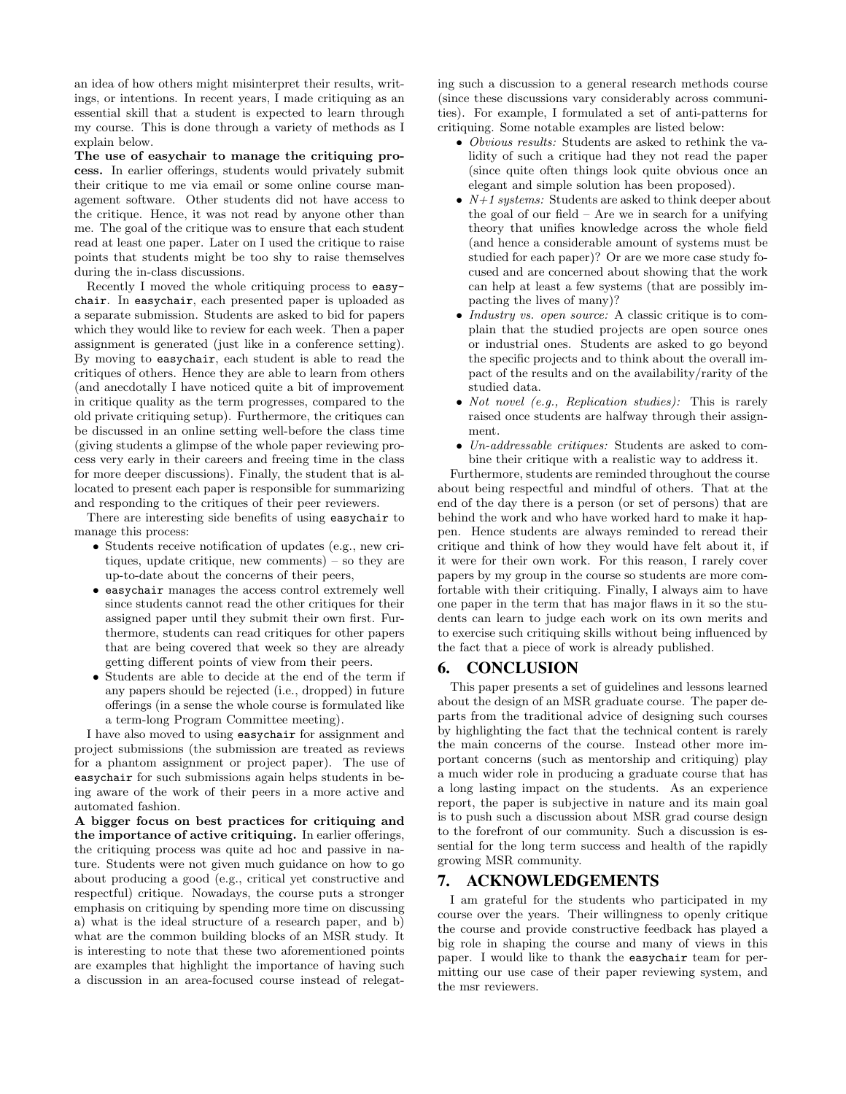an idea of how others might misinterpret their results, writings, or intentions. In recent years, I made critiquing as an essential skill that a student is expected to learn through my course. This is done through a variety of methods as I explain below.

The use of easychair to manage the critiquing process. In earlier offerings, students would privately submit their critique to me via email or some online course management software. Other students did not have access to the critique. Hence, it was not read by anyone other than me. The goal of the critique was to ensure that each student read at least one paper. Later on I used the critique to raise points that students might be too shy to raise themselves during the in-class discussions.

Recently I moved the whole critiquing process to easychair. In easychair, each presented paper is uploaded as a separate submission. Students are asked to bid for papers which they would like to review for each week. Then a paper assignment is generated (just like in a conference setting). By moving to easychair, each student is able to read the critiques of others. Hence they are able to learn from others (and anecdotally I have noticed quite a bit of improvement in critique quality as the term progresses, compared to the old private critiquing setup). Furthermore, the critiques can be discussed in an online setting well-before the class time (giving students a glimpse of the whole paper reviewing process very early in their careers and freeing time in the class for more deeper discussions). Finally, the student that is allocated to present each paper is responsible for summarizing and responding to the critiques of their peer reviewers.

There are interesting side benefits of using easychair to manage this process:

- Students receive notification of updates (e.g., new critiques, update critique, new comments) – so they are up-to-date about the concerns of their peers,
- easychair manages the access control extremely well since students cannot read the other critiques for their assigned paper until they submit their own first. Furthermore, students can read critiques for other papers that are being covered that week so they are already getting different points of view from their peers.
- Students are able to decide at the end of the term if any papers should be rejected (i.e., dropped) in future offerings (in a sense the whole course is formulated like a term-long Program Committee meeting).

I have also moved to using easychair for assignment and project submissions (the submission are treated as reviews for a phantom assignment or project paper). The use of easychair for such submissions again helps students in being aware of the work of their peers in a more active and automated fashion.

A bigger focus on best practices for critiquing and the importance of active critiquing. In earlier offerings, the critiquing process was quite ad hoc and passive in nature. Students were not given much guidance on how to go about producing a good (e.g., critical yet constructive and respectful) critique. Nowadays, the course puts a stronger emphasis on critiquing by spending more time on discussing a) what is the ideal structure of a research paper, and b) what are the common building blocks of an MSR study. It is interesting to note that these two aforementioned points are examples that highlight the importance of having such a discussion in an area-focused course instead of relegating such a discussion to a general research methods course (since these discussions vary considerably across communities). For example, I formulated a set of anti-patterns for critiquing. Some notable examples are listed below:

- Obvious results: Students are asked to rethink the validity of such a critique had they not read the paper (since quite often things look quite obvious once an elegant and simple solution has been proposed).
- $N+1$  systems: Students are asked to think deeper about the goal of our field – Are we in search for a unifying theory that unifies knowledge across the whole field (and hence a considerable amount of systems must be studied for each paper)? Or are we more case study focused and are concerned about showing that the work can help at least a few systems (that are possibly impacting the lives of many)?
- *Industry vs. open source:* A classic critique is to complain that the studied projects are open source ones or industrial ones. Students are asked to go beyond the specific projects and to think about the overall impact of the results and on the availability/rarity of the studied data.
- Not novel (e.g., Replication studies): This is rarely raised once students are halfway through their assignment.
- Un-addressable critiques: Students are asked to combine their critique with a realistic way to address it.

Furthermore, students are reminded throughout the course about being respectful and mindful of others. That at the end of the day there is a person (or set of persons) that are behind the work and who have worked hard to make it happen. Hence students are always reminded to reread their critique and think of how they would have felt about it, if it were for their own work. For this reason, I rarely cover papers by my group in the course so students are more comfortable with their critiquing. Finally, I always aim to have one paper in the term that has major flaws in it so the students can learn to judge each work on its own merits and to exercise such critiquing skills without being influenced by the fact that a piece of work is already published.

#### 6. CONCLUSION

This paper presents a set of guidelines and lessons learned about the design of an MSR graduate course. The paper departs from the traditional advice of designing such courses by highlighting the fact that the technical content is rarely the main concerns of the course. Instead other more important concerns (such as mentorship and critiquing) play a much wider role in producing a graduate course that has a long lasting impact on the students. As an experience report, the paper is subjective in nature and its main goal is to push such a discussion about MSR grad course design to the forefront of our community. Such a discussion is essential for the long term success and health of the rapidly growing MSR community.

## 7. ACKNOWLEDGEMENTS

I am grateful for the students who participated in my course over the years. Their willingness to openly critique the course and provide constructive feedback has played a big role in shaping the course and many of views in this paper. I would like to thank the easychair team for permitting our use case of their paper reviewing system, and the msr reviewers.